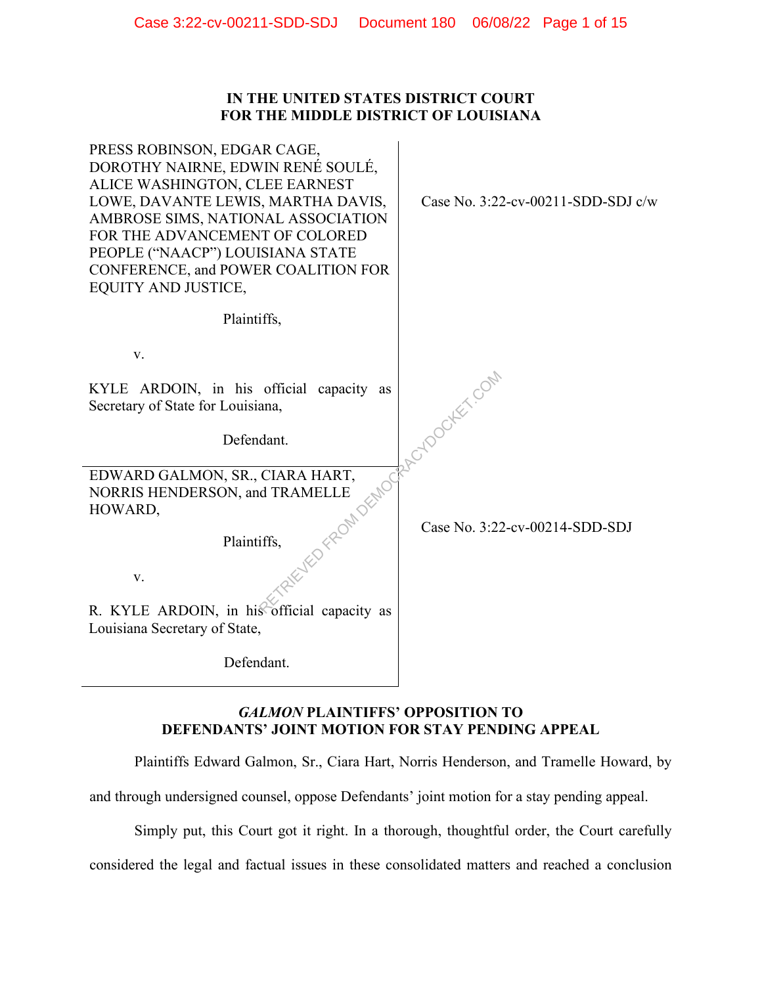### **IN THE UNITED STATES DISTRICT COURT FOR THE MIDDLE DISTRICT OF LOUISIANA**

| PRESS ROBINSON, EDGAR CAGE,<br>DOROTHY NAIRNE, EDWIN RENÉ SOULÉ,<br>ALICE WASHINGTON, CLEE EARNEST<br>LOWE, DAVANTE LEWIS, MARTHA DAVIS,<br>AMBROSE SIMS, NATIONAL ASSOCIATION<br>FOR THE ADVANCEMENT OF COLORED<br>PEOPLE ("NAACP") LOUISIANA STATE<br>CONFERENCE, and POWER COALITION FOR<br><b>EQUITY AND JUSTICE,</b> | Case No. $3:22$ -cv-00211-SDD-SDJ c/w |
|---------------------------------------------------------------------------------------------------------------------------------------------------------------------------------------------------------------------------------------------------------------------------------------------------------------------------|---------------------------------------|
| Plaintiffs,                                                                                                                                                                                                                                                                                                               |                                       |
| V.                                                                                                                                                                                                                                                                                                                        |                                       |
| KYLE ARDOIN, in his official capacity<br>as<br>Secretary of State for Louisiana,                                                                                                                                                                                                                                          | 1010 ocker com                        |
| Defendant.                                                                                                                                                                                                                                                                                                                |                                       |
| EDWARD GALMON, SR., CIARA HART,<br>1 FROM DEMOCH<br>NORRIS HENDERSON, and TRAMELLE<br>HOWARD,                                                                                                                                                                                                                             |                                       |
| Plaintiffs,                                                                                                                                                                                                                                                                                                               | Case No. 3:22-cv-00214-SDD-SDJ        |
| V.                                                                                                                                                                                                                                                                                                                        |                                       |
| R. KYLE ARDOIN, in his official capacity as<br>Louisiana Secretary of State,                                                                                                                                                                                                                                              |                                       |
| Defendant.                                                                                                                                                                                                                                                                                                                |                                       |

# *GALMON* **PLAINTIFFS' OPPOSITION TO DEFENDANTS' JOINT MOTION FOR STAY PENDING APPEAL**

Plaintiffs Edward Galmon, Sr., Ciara Hart, Norris Henderson, and Tramelle Howard, by

and through undersigned counsel, oppose Defendants' joint motion for a stay pending appeal.

Simply put, this Court got it right. In a thorough, thoughtful order, the Court carefully

considered the legal and factual issues in these consolidated matters and reached a conclusion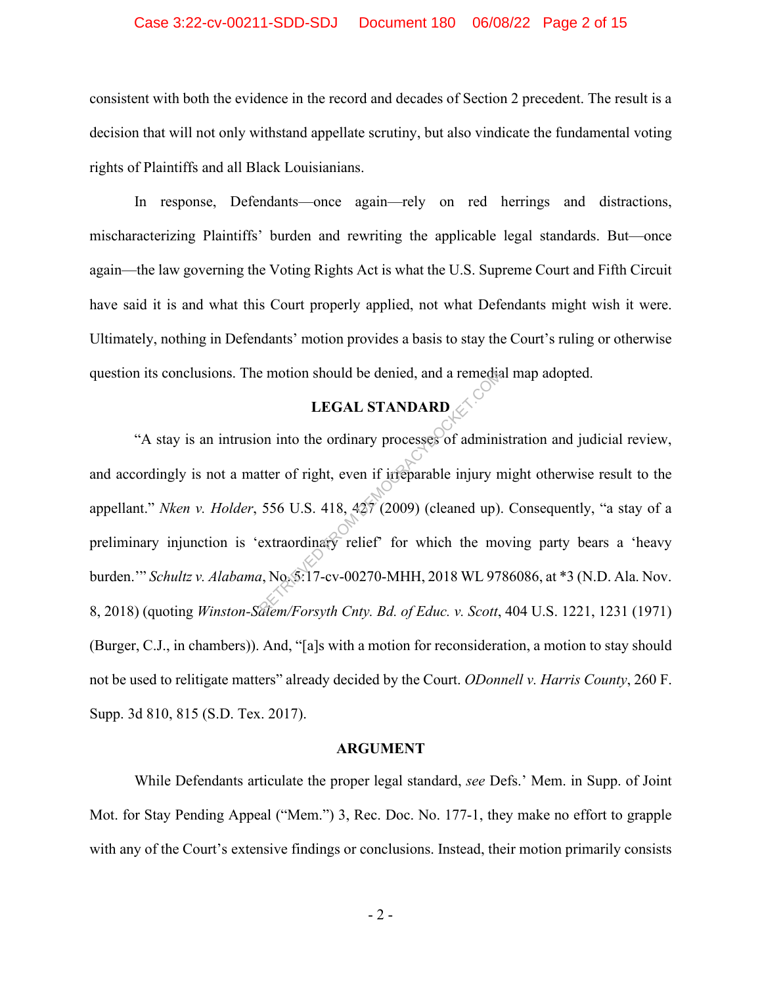#### Case 3:22-cv-00211-SDD-SDJ Document 180 06/08/22 Page 2 of 15

consistent with both the evidence in the record and decades of Section 2 precedent. The result is a decision that will not only withstand appellate scrutiny, but also vindicate the fundamental voting rights of Plaintiffs and all Black Louisianians.

In response, Defendants—once again—rely on red herrings and distractions, mischaracterizing Plaintiffs' burden and rewriting the applicable legal standards. But—once again—the law governing the Voting Rights Act is what the U.S. Supreme Court and Fifth Circuit have said it is and what this Court properly applied, not what Defendants might wish it were. Ultimately, nothing in Defendants' motion provides a basis to stay the Court's ruling or otherwise question its conclusions. The motion should be denied, and a remedial map adopted.

# **LEGAL STANDARD**

"A stay is an intrusion into the ordinary processes of administration and judicial review, and accordingly is not a matter of right, even if irreparable injury might otherwise result to the appellant." *Nken v. Holder*, 556 U.S. 418, 427 (2009) (cleaned up). Consequently, "a stay of a preliminary injunction is 'extraordinary relief' for which the moving party bears a 'heavy burden.'" *Schultz v. Alabama*, No. 5:17-cv-00270-MHH, 2018 WL 9786086, at \*3 (N.D. Ala. Nov. 8, 2018) (quoting *Winston-Salem/Forsyth Cnty. Bd. of Educ. v. Scott*, 404 U.S. 1221, 1231 (1971) (Burger, C.J., in chambers)). And, "[a]s with a motion for reconsideration, a motion to stay should not be used to relitigate matters" already decided by the Court. *ODonnell v. Harris County*, 260 F. Supp. 3d 810, 815 (S.D. Tex. 2017). Example 1 and a remediate term of right, even if inteparable injury notices<br>the original of right, even if inteparable injury notices<br>556 U.S. 418, 427 (2009) (cleaned up).<br>extraordinary relief' for which the model was se

#### **ARGUMENT**

While Defendants articulate the proper legal standard, *see* Defs.' Mem. in Supp. of Joint Mot. for Stay Pending Appeal ("Mem.") 3, Rec. Doc. No. 177-1, they make no effort to grapple with any of the Court's extensive findings or conclusions. Instead, their motion primarily consists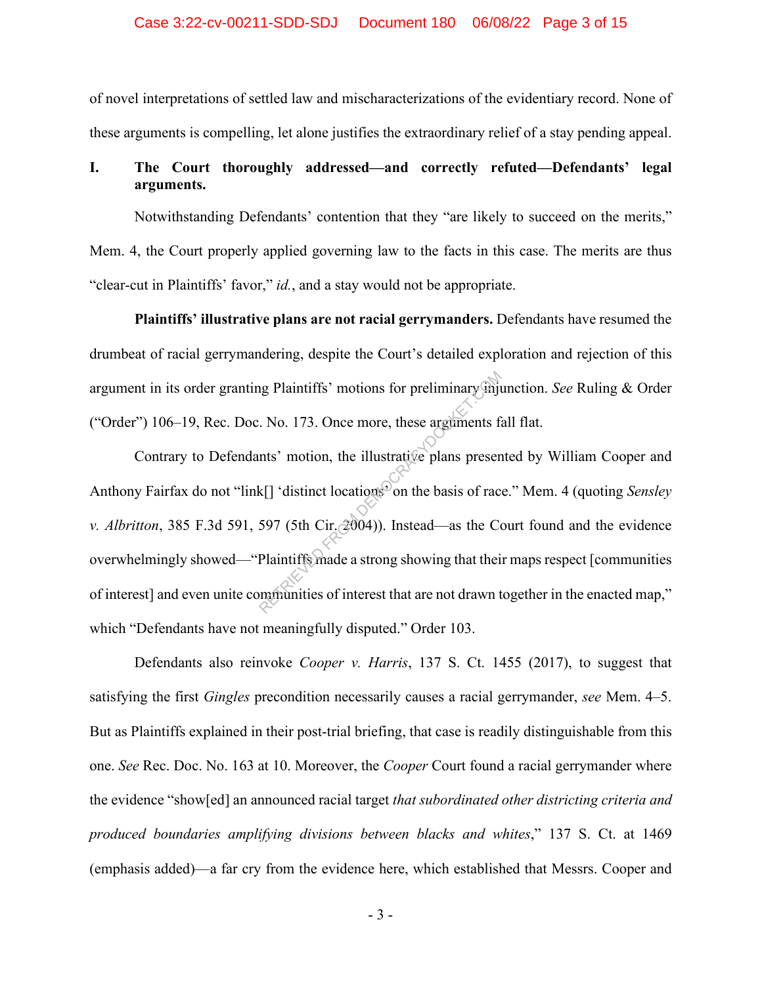#### Case 3:22-cv-00211-SDD-SDJ Document 180 06/08/22 Page 3 of 15

of novel interpretations of settled law and mischaracterizations of the evidentiary record. None of these arguments is compelling, let alone justifies the extraordinary relief of a stay pending appeal.

## **I. The Court thoroughly addressed—and correctly refuted—Defendants' legal arguments.**

Notwithstanding Defendants' contention that they "are likely to succeed on the merits," Mem. 4, the Court properly applied governing law to the facts in this case. The merits are thus "clear-cut in Plaintiffs' favor," *id.*, and a stay would not be appropriate.

**Plaintiffs' illustrative plans are not racial gerrymanders.** Defendants have resumed the drumbeat of racial gerrymandering, despite the Court's detailed exploration and rejection of this argument in its order granting Plaintiffs' motions for preliminary injunction. *See* Ruling & Order ("Order") 106–19, Rec. Doc. No. 173. Once more, these arguments fall flat.

Contrary to Defendants' motion, the illustrative plans presented by William Cooper and Anthony Fairfax do not "link[] 'distinct locations' on the basis of race." Mem. 4 (quoting *Sensley v. Albritton*, 385 F.3d 591, 597 (5th Cir.  $(2004)$ ). Instead—as the Court found and the evidence overwhelmingly showed—"Plaintiffs made a strong showing that their maps respect [communities of interest] and even unite communities of interest that are not drawn together in the enacted map," which "Defendants have not meaningfully disputed." Order 103. In Plaintiffs' motions for preliminary injude.<br>No. 173. Once more, these arguments factors ints' motion, the illustrative plans present k[] 'distinct locations on the basis of rac 597 (5th Cir.  $(3004)$ ). Instead—as the Co

Defendants also reinvoke *Cooper v. Harris*, 137 S. Ct. 1455 (2017), to suggest that satisfying the first *Gingles* precondition necessarily causes a racial gerrymander, *see* Mem. 4–5. But as Plaintiffs explained in their post-trial briefing, that case is readily distinguishable from this one. *See* Rec. Doc. No. 163 at 10. Moreover, the *Cooper* Court found a racial gerrymander where the evidence "show[ed] an announced racial target *that subordinated other districting criteria and produced boundaries amplifying divisions between blacks and whites*," 137 S. Ct. at 1469 (emphasis added)—a far cry from the evidence here, which established that Messrs. Cooper and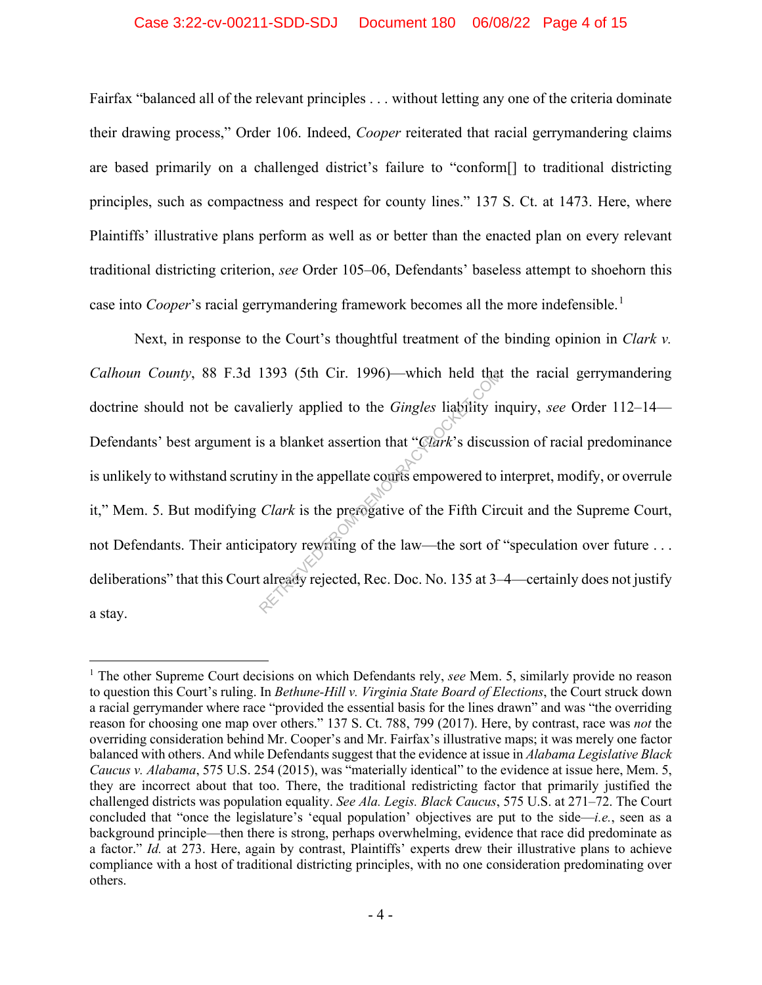#### Case 3:22-cv-00211-SDD-SDJ Document 180 06/08/22 Page 4 of 15

Fairfax "balanced all of the relevant principles . . . without letting any one of the criteria dominate their drawing process," Order 106. Indeed, *Cooper* reiterated that racial gerrymandering claims are based primarily on a challenged district's failure to "conform[] to traditional districting principles, such as compactness and respect for county lines." 137 S. Ct. at 1473. Here, where Plaintiffs' illustrative plans perform as well as or better than the enacted plan on every relevant traditional districting criterion, *see* Order 105–06, Defendants' baseless attempt to shoehorn this case into *Cooper*'s racial gerrymandering framework becomes all the more indefensible.<sup>1</sup>

Next, in response to the Court's thoughtful treatment of the binding opinion in *Clark v. Calhoun County*, 88 F.3d 1393 (5th Cir. 1996)—which held that the racial gerrymandering doctrine should not be cavalierly applied to the *Gingles* liability inquiry, *see* Order 112–14— Defendants' best argument is a blanket assertion that "*Clark*'s discussion of racial predominance is unlikely to withstand scrutiny in the appellate courts empowered to interpret, modify, or overrule it," Mem. 5. But modifying *Clark* is the prerogative of the Fifth Circuit and the Supreme Court, not Defendants. Their anticipatory rewriting of the law—the sort of "speculation over future . . . deliberations" that this Court already rejected, Rec. Doc. No. 135 at 3–4—certainly does not justify a stay. 1393 (5th Cir. 1996)—which held that<br>alierly applied to the *Gingles* liability in<br>s a blanket assertion that "*Clark*'s discus<br>iny in the appellate counts empowered to in<br>*Clark* is the prerogative of the Fifth Cire<br>pato

<sup>1</sup> The other Supreme Court decisions on which Defendants rely, *see* Mem. 5, similarly provide no reason to question this Court's ruling. In *Bethune-Hill v. Virginia State Board of Elections*, the Court struck down a racial gerrymander where race "provided the essential basis for the lines drawn" and was "the overriding reason for choosing one map over others." 137 S. Ct. 788, 799 (2017). Here, by contrast, race was *not* the overriding consideration behind Mr. Cooper's and Mr. Fairfax's illustrative maps; it was merely one factor balanced with others. And while Defendants suggest that the evidence at issue in *Alabama Legislative Black Caucus v. Alabama*, 575 U.S. 254 (2015), was "materially identical" to the evidence at issue here, Mem. 5, they are incorrect about that too. There, the traditional redistricting factor that primarily justified the challenged districts was population equality. *See Ala. Legis. Black Caucus*, 575 U.S. at 271–72. The Court concluded that "once the legislature's 'equal population' objectives are put to the side—*i.e.*, seen as a background principle—then there is strong, perhaps overwhelming, evidence that race did predominate as a factor." *Id.* at 273. Here, again by contrast, Plaintiffs' experts drew their illustrative plans to achieve compliance with a host of traditional districting principles, with no one consideration predominating over others.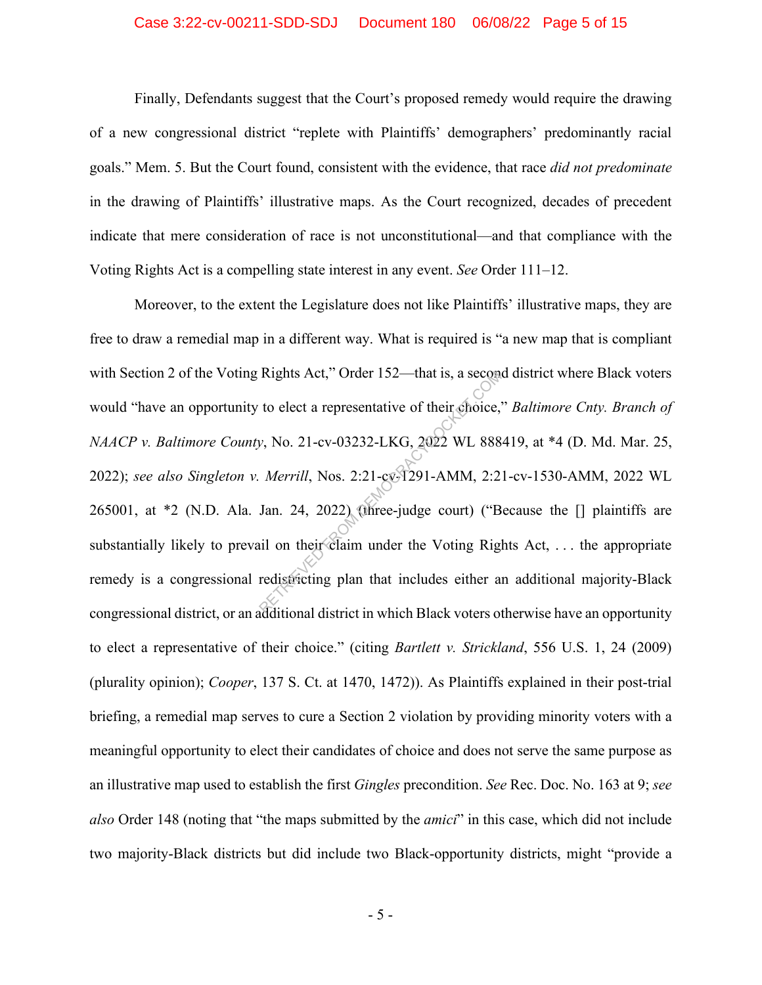#### Case 3:22-cv-00211-SDD-SDJ Document 180 06/08/22 Page 5 of 15

Finally, Defendants suggest that the Court's proposed remedy would require the drawing of a new congressional district "replete with Plaintiffs' demographers' predominantly racial goals." Mem. 5. But the Court found, consistent with the evidence, that race *did not predominate* in the drawing of Plaintiffs' illustrative maps. As the Court recognized, decades of precedent indicate that mere consideration of race is not unconstitutional—and that compliance with the Voting Rights Act is a compelling state interest in any event. *See* Order 111–12.

Moreover, to the extent the Legislature does not like Plaintiffs' illustrative maps, they are free to draw a remedial map in a different way. What is required is "a new map that is compliant with Section 2 of the Voting Rights Act," Order 152—that is, a second district where Black voters would "have an opportunity to elect a representative of their choice," *Baltimore Cnty. Branch of NAACP v. Baltimore County*, No. 21-cv-03232-LKG, 2022 WL 888419, at \*4 (D. Md. Mar. 25, 2022); *see also Singleton v. Merrill*, Nos. 2:21-cv-1291-AMM, 2:21-cv-1530-AMM, 2022 WL 265001, at \*2 (N.D. Ala. Jan. 24, 2022) (three-judge court) ("Because the [] plaintiffs are substantially likely to prevail on their claim under the Voting Rights Act, ... the appropriate remedy is a congressional redistricting plan that includes either an additional majority-Black congressional district, or an additional district in which Black voters otherwise have an opportunity to elect a representative of their choice." (citing *Bartlett v. Strickland*, 556 U.S. 1, 24 (2009) (plurality opinion); *Cooper*, 137 S. Ct. at 1470, 1472)). As Plaintiffs explained in their post-trial briefing, a remedial map serves to cure a Section 2 violation by providing minority voters with a meaningful opportunity to elect their candidates of choice and does not serve the same purpose as an illustrative map used to establish the first *Gingles* precondition. *See* Rec. Doc. No. 163 at 9; *see also* Order 148 (noting that "the maps submitted by the *amici*" in this case, which did not include two majority-Black districts but did include two Black-opportunity districts, might "provide a Rights Act," Order 152—that is, a second<br>to elect a representative of their choice,<br> $v$ , No. 21-cv-03232-LKG, 2022 WL 888<br>Merrill, Nos. 2:21-cv-1291-AMM, 2:2<br>Jan. 24, 2022) (three-judge court) ("B<br>ail on their claim under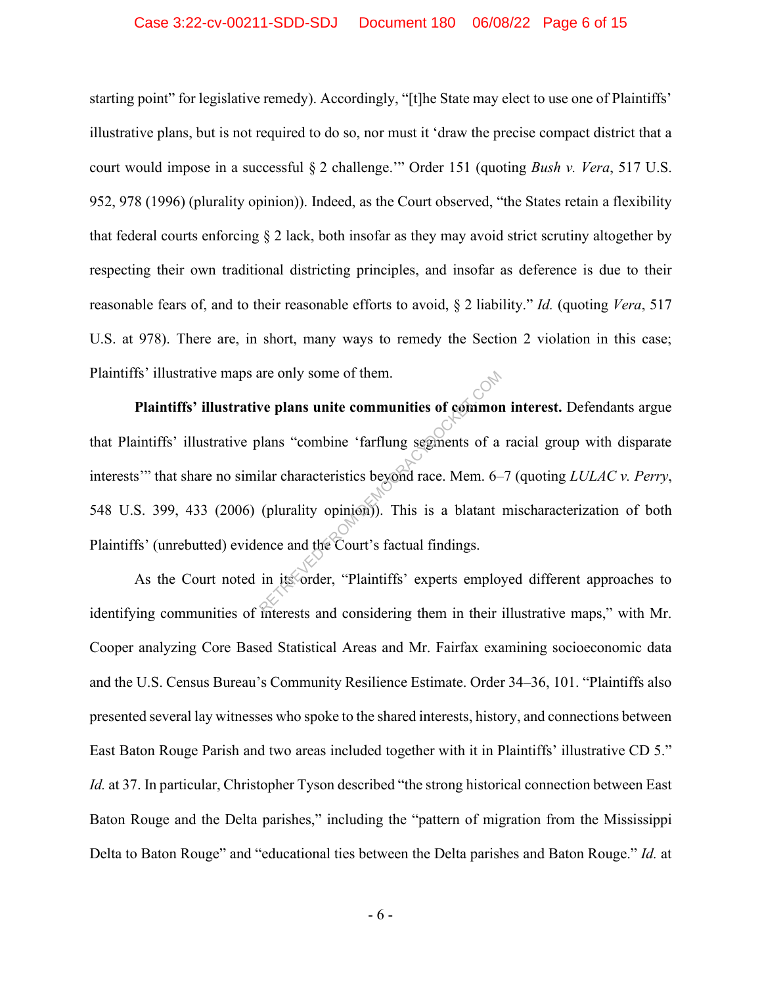#### Case 3:22-cv-00211-SDD-SDJ Document 180 06/08/22 Page 6 of 15

starting point" for legislative remedy). Accordingly, "[t]he State may elect to use one of Plaintiffs' illustrative plans, but is not required to do so, nor must it 'draw the precise compact district that a court would impose in a successful § 2 challenge.'" Order 151 (quoting *Bush v. Vera*, 517 U.S. 952, 978 (1996) (plurality opinion)). Indeed, as the Court observed, "the States retain a flexibility that federal courts enforcing  $\S 2$  lack, both insofar as they may avoid strict scrutiny altogether by respecting their own traditional districting principles, and insofar as deference is due to their reasonable fears of, and to their reasonable efforts to avoid, § 2 liability." *Id.* (quoting *Vera*, 517 U.S. at 978). There are, in short, many ways to remedy the Section 2 violation in this case; Plaintiffs' illustrative maps are only some of them.

**Plaintiffs' illustrative plans unite communities of common interest.** Defendants argue that Plaintiffs' illustrative plans "combine 'farflung segments of a racial group with disparate interests'" that share no similar characteristics beyond race. Mem. 6–7 (quoting *LULAC v. Perry*, 548 U.S. 399, 433 (2006) (plurality opinion)). This is a blatant mischaracterization of both Plaintiffs' (unrebutted) evidence and the Court's factual findings. are only some of them.<br>
we plans unite communities of common<br>
lans "combine 'farflung segments of a<br>
ilar characteristics beyond race. Mem. 6-<br>
(plurality opinion)). This is a blatant<br>
ence and the Court's factual findings

As the Court noted in its order, "Plaintiffs' experts employed different approaches to identifying communities of interests and considering them in their illustrative maps," with Mr. Cooper analyzing Core Based Statistical Areas and Mr. Fairfax examining socioeconomic data and the U.S. Census Bureau's Community Resilience Estimate. Order 34–36, 101. "Plaintiffs also presented several lay witnesses who spoke to the shared interests, history, and connections between East Baton Rouge Parish and two areas included together with it in Plaintiffs' illustrative CD 5." *Id.* at 37. In particular, Christopher Tyson described "the strong historical connection between East Baton Rouge and the Delta parishes," including the "pattern of migration from the Mississippi Delta to Baton Rouge" and "educational ties between the Delta parishes and Baton Rouge." *Id.* at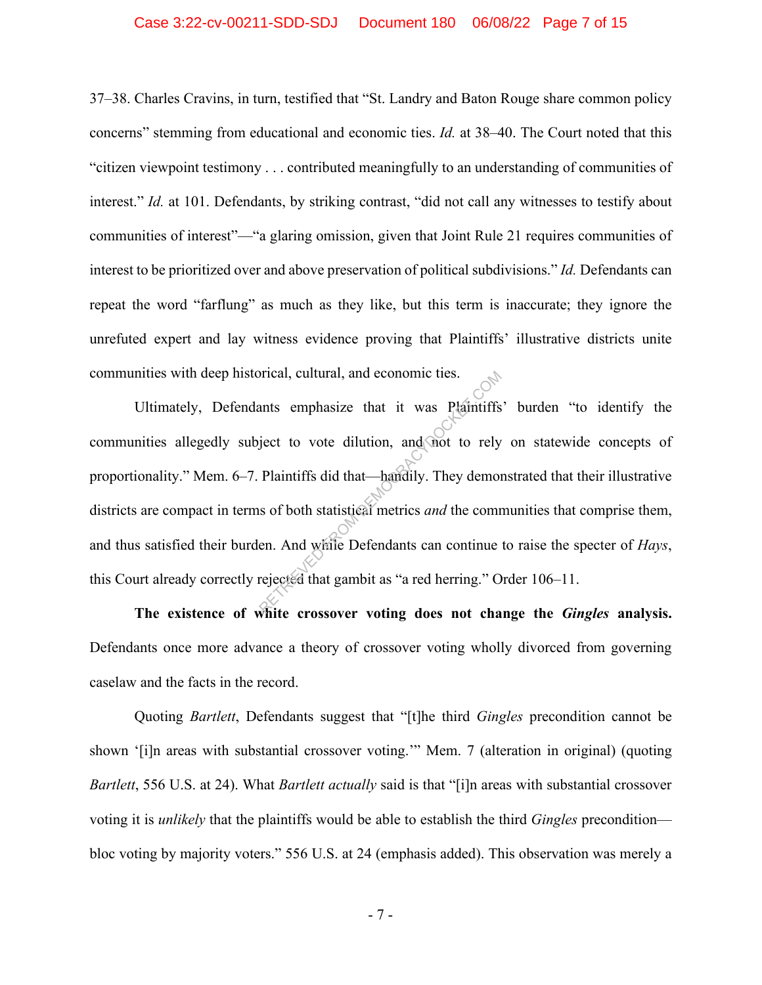#### Case 3:22-cv-00211-SDD-SDJ Document 180 06/08/22 Page 7 of 15

37–38. Charles Cravins, in turn, testified that "St. Landry and Baton Rouge share common policy concerns" stemming from educational and economic ties. *Id.* at 38–40. The Court noted that this "citizen viewpoint testimony . . . contributed meaningfully to an understanding of communities of interest." *Id.* at 101. Defendants, by striking contrast, "did not call any witnesses to testify about communities of interest"—"a glaring omission, given that Joint Rule 21 requires communities of interest to be prioritized over and above preservation of political subdivisions." *Id.* Defendants can repeat the word "farflung" as much as they like, but this term is inaccurate; they ignore the unrefuted expert and lay witness evidence proving that Plaintiffs' illustrative districts unite communities with deep historical, cultural, and economic ties.

Ultimately, Defendants emphasize that it was Plaintiffs' burden "to identify the communities allegedly subject to vote dilution, and not to rely on statewide concepts of proportionality." Mem. 6–7. Plaintiffs did that—handily. They demonstrated that their illustrative districts are compact in terms of both statistical metrics *and* the communities that comprise them, and thus satisfied their burden. And while Defendants can continue to raise the specter of *Hays*, this Court already correctly rejected that gambit as "a red herring." Order 106–11. Solution, and economic ties.<br>
The antistic emphasize that it was Plaintiffs<br>
ject to vote dilution, and not to rely<br>
Plaintiffs did that—handly. They demon<br>
so f both statistical metrics *and* the comm<br>
en. And while Defen

**The existence of white crossover voting does not change the** *Gingles* **analysis.** Defendants once more advance a theory of crossover voting wholly divorced from governing caselaw and the facts in the record.

Quoting *Bartlett*, Defendants suggest that "[t]he third *Gingles* precondition cannot be shown '[i]n areas with substantial crossover voting.'" Mem. 7 (alteration in original) (quoting *Bartlett*, 556 U.S. at 24). What *Bartlett actually* said is that "[i]n areas with substantial crossover voting it is *unlikely* that the plaintiffs would be able to establish the third *Gingles* precondition bloc voting by majority voters." 556 U.S. at 24 (emphasis added). This observation was merely a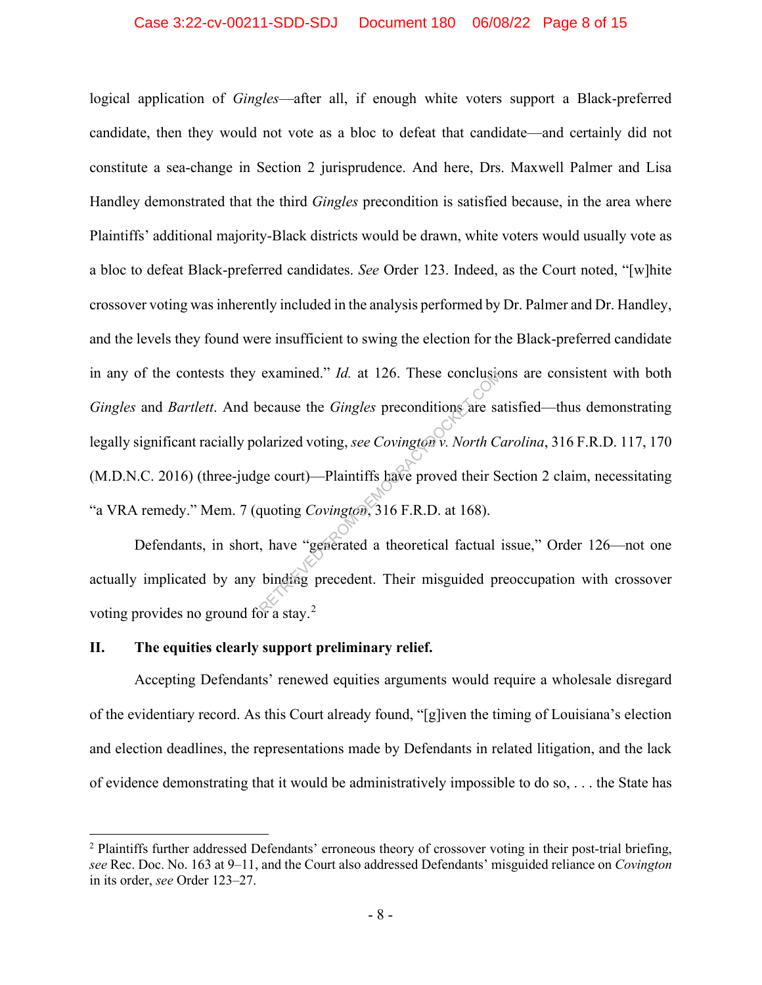logical application of *Gingles*—after all, if enough white voters support a Black-preferred candidate, then they would not vote as a bloc to defeat that candidate—and certainly did not constitute a sea-change in Section 2 jurisprudence. And here, Drs. Maxwell Palmer and Lisa Handley demonstrated that the third *Gingles* precondition is satisfied because, in the area where Plaintiffs' additional majority-Black districts would be drawn, white voters would usually vote as a bloc to defeat Black-preferred candidates. *See* Order 123. Indeed, as the Court noted, "[w]hite crossover voting was inherently included in the analysis performed by Dr. Palmer and Dr. Handley, and the levels they found were insufficient to swing the election for the Black-preferred candidate in any of the contests they examined." *Id.* at 126. These conclusions are consistent with both *Gingles* and *Bartlett*. And because the *Gingles* preconditions are satisfied—thus demonstrating legally significant racially polarized voting, *see Covington v. North Carolina*, 316 F.R.D. 117, 170 (M.D.N.C. 2016) (three-judge court)—Plaintiffs have proved their Section 2 claim, necessitating "a VRA remedy." Mem. 7 (quoting *Covington*, 316 F.R.D. at 168). examined." *Id.* at 126. These concluses<br>because the *Gingles* preconditions are satisfaction of the section of the section of the section of the section of  $\alpha$  and  $\alpha$  is a section of the section of the section of the

Defendants, in short, have "generated a theoretical factual issue," Order 126—not one actually implicated by any binding precedent. Their misguided preoccupation with crossover voting provides no ground for a stay.<sup>2</sup>

#### **II. The equities clearly support preliminary relief.**

Accepting Defendants' renewed equities arguments would require a wholesale disregard of the evidentiary record. As this Court already found, "[g]iven the timing of Louisiana's election and election deadlines, the representations made by Defendants in related litigation, and the lack of evidence demonstrating that it would be administratively impossible to do so, . . . the State has

<sup>&</sup>lt;sup>2</sup> Plaintiffs further addressed Defendants' erroneous theory of crossover voting in their post-trial briefing, *see* Rec. Doc. No. 163 at 9–11, and the Court also addressed Defendants' misguided reliance on *Covington* in its order, *see* Order 123–27.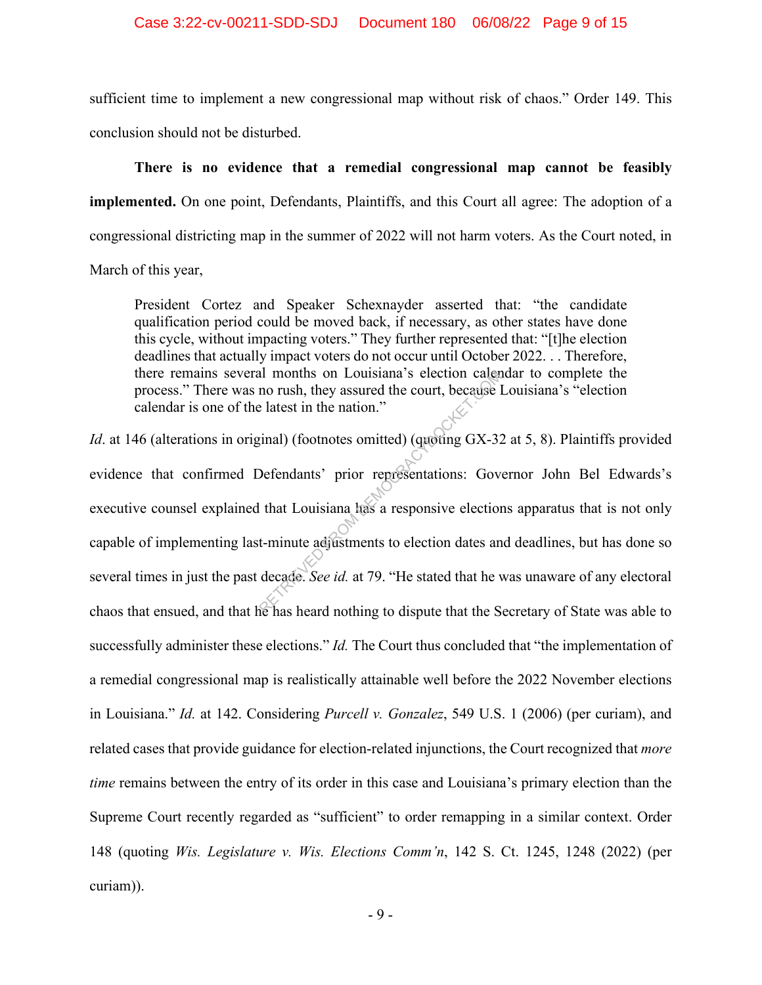sufficient time to implement a new congressional map without risk of chaos." Order 149. This conclusion should not be disturbed.

**There is no evidence that a remedial congressional map cannot be feasibly implemented.** On one point, Defendants, Plaintiffs, and this Court all agree: The adoption of a congressional districting map in the summer of 2022 will not harm voters. As the Court noted, in March of this year,

President Cortez and Speaker Schexnayder asserted that: "the candidate qualification period could be moved back, if necessary, as other states have done this cycle, without impacting voters." They further represented that: "[t]he election deadlines that actually impact voters do not occur until October 2022. . . Therefore, there remains several months on Louisiana's election calendar to complete the process." There was no rush, they assured the court, because Louisiana's "election calendar is one of the latest in the nation."

*Id.* at 146 (alterations in original) (footnotes omitted) (quoting GX-32 at 5, 8). Plaintiffs provided evidence that confirmed Defendants' prior representations: Governor John Bel Edwards's executive counsel explained that Louisiana has a responsive elections apparatus that is not only capable of implementing last-minute adjustments to election dates and deadlines, but has done so several times in just the past decade. *See id.* at 79. "He stated that he was unaware of any electoral chaos that ensued, and that he has heard nothing to dispute that the Secretary of State was able to successfully administer these elections." *Id.* The Court thus concluded that "the implementation of a remedial congressional map is realistically attainable well before the 2022 November elections in Louisiana." *Id.* at 142. Considering *Purcell v. Gonzalez*, 549 U.S. 1 (2006) (per curiam), and related cases that provide guidance for election-related injunctions, the Court recognized that *more time* remains between the entry of its order in this case and Louisiana's primary election than the Supreme Court recently regarded as "sufficient" to order remapping in a similar context. Order 148 (quoting *Wis. Legislature v. Wis. Elections Comm'n*, 142 S. Ct. 1245, 1248 (2022) (per curiam)). all months on Louisiana's election caler<br>no rush, they assured the court, because l<br>elatest in the nation."<br>(inal) (footnotes omitted) (quoting GX-32<br>Defendants' prior representations: Gov<br>that Louisiana has a responsive e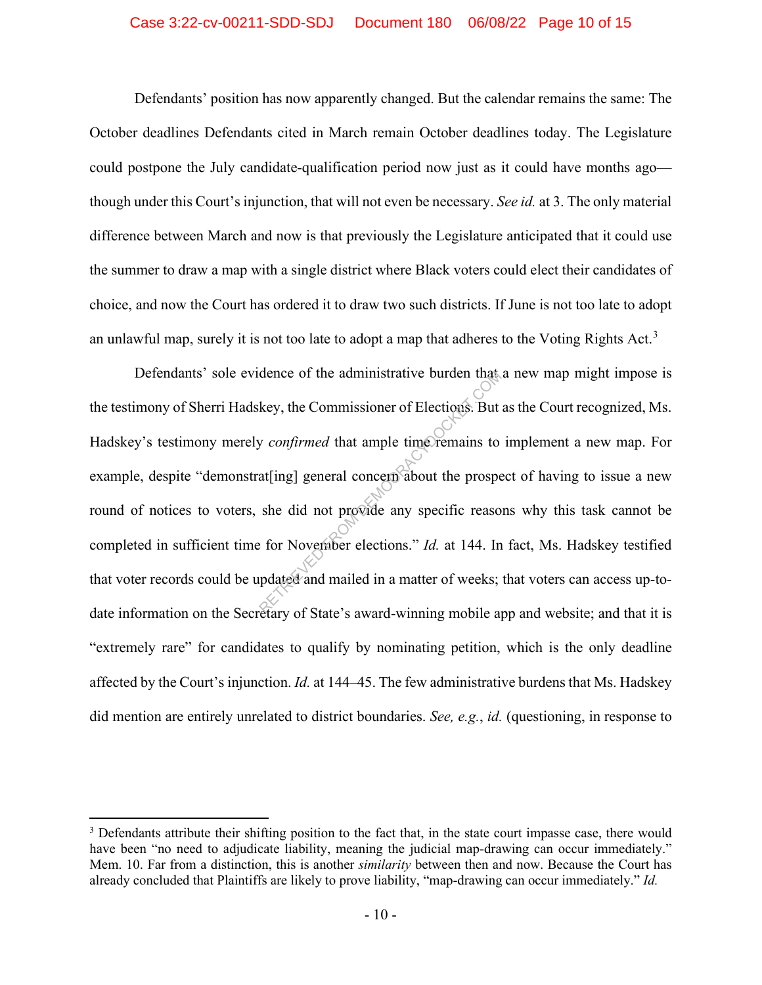#### Case 3:22-cv-00211-SDD-SDJ Document 180 06/08/22 Page 10 of 15

Defendants' position has now apparently changed. But the calendar remains the same: The October deadlines Defendants cited in March remain October deadlines today. The Legislature could postpone the July candidate-qualification period now just as it could have months ago though under this Court's injunction, that will not even be necessary. *See id.* at 3. The only material difference between March and now is that previously the Legislature anticipated that it could use the summer to draw a map with a single district where Black voters could elect their candidates of choice, and now the Court has ordered it to draw two such districts. If June is not too late to adopt an unlawful map, surely it is not too late to adopt a map that adheres to the Voting Rights Act.<sup>3</sup>

Defendants' sole evidence of the administrative burden that a new map might impose is the testimony of Sherri Hadskey, the Commissioner of Elections. But as the Court recognized, Ms. Hadskey's testimony merely *confirmed* that ample time remains to implement a new map. For example, despite "demonstrat[ing] general concern about the prospect of having to issue a new round of notices to voters, she did not provide any specific reasons why this task cannot be completed in sufficient time for November elections." *Id.* at 144. In fact, Ms. Hadskey testified that voter records could be updated and mailed in a matter of weeks; that voters can access up-todate information on the Secretary of State's award-winning mobile app and website; and that it is "extremely rare" for candidates to qualify by nominating petition, which is the only deadline affected by the Court's injunction. *Id.* at 144–45. The few administrative burdens that Ms. Hadskey did mention are entirely unrelated to district boundaries. *See, e.g.*, *id.* (questioning, in response to dence of the administrative burden that<br>key, the Commissioner of Elections. But<br>y confirmed that ample time remains to<br>at[ing] general concern about the prospe<br>she did not provide any specific reaso<br>estimated in a matter o

<sup>&</sup>lt;sup>3</sup> Defendants attribute their shifting position to the fact that, in the state court impasse case, there would have been "no need to adjudicate liability, meaning the judicial map-drawing can occur immediately." Mem. 10. Far from a distinction, this is another *similarity* between then and now. Because the Court has already concluded that Plaintiffs are likely to prove liability, "map-drawing can occur immediately." *Id.*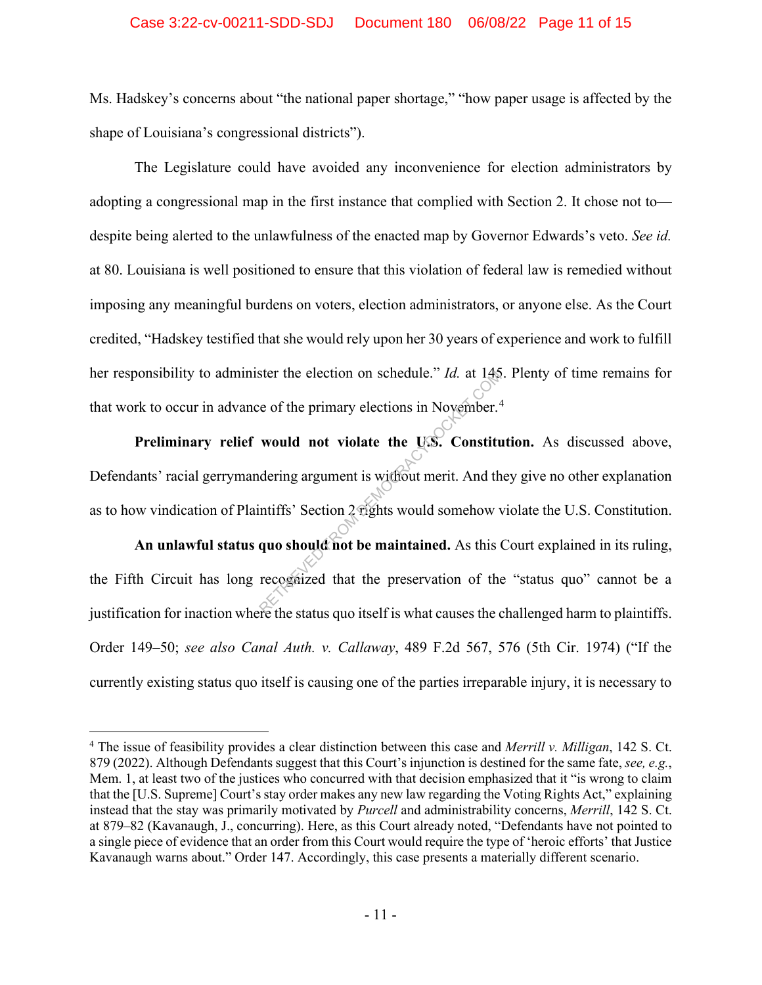#### Case 3:22-cv-00211-SDD-SDJ Document 180 06/08/22 Page 11 of 15

Ms. Hadskey's concerns about "the national paper shortage," "how paper usage is affected by the shape of Louisiana's congressional districts").

The Legislature could have avoided any inconvenience for election administrators by adopting a congressional map in the first instance that complied with Section 2. It chose not to despite being alerted to the unlawfulness of the enacted map by Governor Edwards's veto. *See id.* at 80. Louisiana is well positioned to ensure that this violation of federal law is remedied without imposing any meaningful burdens on voters, election administrators, or anyone else. As the Court credited, "Hadskey testified that she would rely upon her 30 years of experience and work to fulfill her responsibility to administer the election on schedule." *Id.* at 145. Plenty of time remains for that work to occur in advance of the primary elections in November.<sup>4</sup>

**Preliminary relief would not violate the U.S. Constitution.** As discussed above, Defendants' racial gerrymandering argument is without merit. And they give no other explanation as to how vindication of Plaintiffs' Section 2 rights would somehow violate the U.S. Constitution. ster the election on schedule." *Id.* at 145<br>e of the primary elections in November.<sup>2</sup><br>would not violate the U.S. Constitute<br>dering argument is without merit. And the<br>intiffs' Section 2 rights would somehow y<br>quo should n

An unlawful status quo should not be maintained. As this Court explained in its ruling, the Fifth Circuit has long recognized that the preservation of the "status quo" cannot be a justification for inaction where the status quo itself is what causes the challenged harm to plaintiffs. Order 149–50; *see also Canal Auth. v. Callaway*, 489 F.2d 567, 576 (5th Cir. 1974) ("If the currently existing status quo itself is causing one of the parties irreparable injury, it is necessary to

<sup>4</sup> The issue of feasibility provides a clear distinction between this case and *Merrill v. Milligan*, 142 S. Ct. 879 (2022). Although Defendants suggest that this Court's injunction is destined for the same fate, *see, e.g.*, Mem. 1, at least two of the justices who concurred with that decision emphasized that it "is wrong to claim that the [U.S. Supreme] Court's stay order makes any new law regarding the Voting Rights Act," explaining instead that the stay was primarily motivated by *Purcell* and administrability concerns, *Merrill*, 142 S. Ct. at 879–82 (Kavanaugh, J., concurring). Here, as this Court already noted, "Defendants have not pointed to a single piece of evidence that an order from this Court would require the type of 'heroic efforts' that Justice Kavanaugh warns about." Order 147. Accordingly, this case presents a materially different scenario.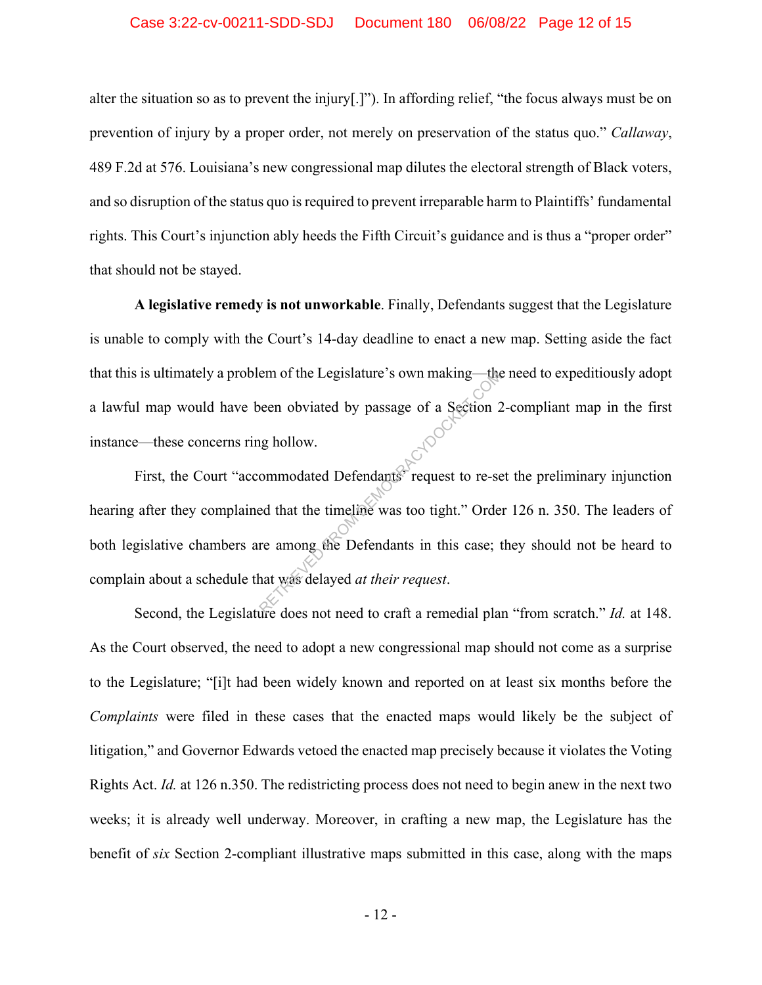#### Case 3:22-cv-00211-SDD-SDJ Document 180 06/08/22 Page 12 of 15

alter the situation so as to prevent the injury[.]"). In affording relief, "the focus always must be on prevention of injury by a proper order, not merely on preservation of the status quo." *Callaway*, 489 F.2d at 576. Louisiana's new congressional map dilutes the electoral strength of Black voters, and so disruption of the status quo is required to prevent irreparable harm to Plaintiffs' fundamental rights. This Court's injunction ably heeds the Fifth Circuit's guidance and is thus a "proper order" that should not be stayed.

**A legislative remedy is not unworkable**. Finally, Defendants suggest that the Legislature is unable to comply with the Court's 14-day deadline to enact a new map. Setting aside the fact that this is ultimately a problem of the Legislature's own making—the need to expeditiously adopt a lawful map would have been obviated by passage of a Section 2-compliant map in the first instance—these concerns ring hollow.

First, the Court "accommodated Defendants" request to re-set the preliminary injunction hearing after they complained that the timeline was too tight." Order 126 n. 350. The leaders of both legislative chambers are among the Defendants in this case; they should not be heard to complain about a schedule that was delayed *at their request*. The Maximum of the Legislature's own making—the<br>
been obviated by passage of a Section 2<br>
in a monodated Defendants<br>
From Pequest to re-seed that the timeline was too tight." Orde<br>
re among the Defendants in this case; tha

Second, the Legislature does not need to craft a remedial plan "from scratch." *Id.* at 148. As the Court observed, the need to adopt a new congressional map should not come as a surprise to the Legislature; "[i]t had been widely known and reported on at least six months before the *Complaints* were filed in these cases that the enacted maps would likely be the subject of litigation," and Governor Edwards vetoed the enacted map precisely because it violates the Voting Rights Act. *Id.* at 126 n.350. The redistricting process does not need to begin anew in the next two weeks; it is already well underway. Moreover, in crafting a new map, the Legislature has the benefit of *six* Section 2-compliant illustrative maps submitted in this case, along with the maps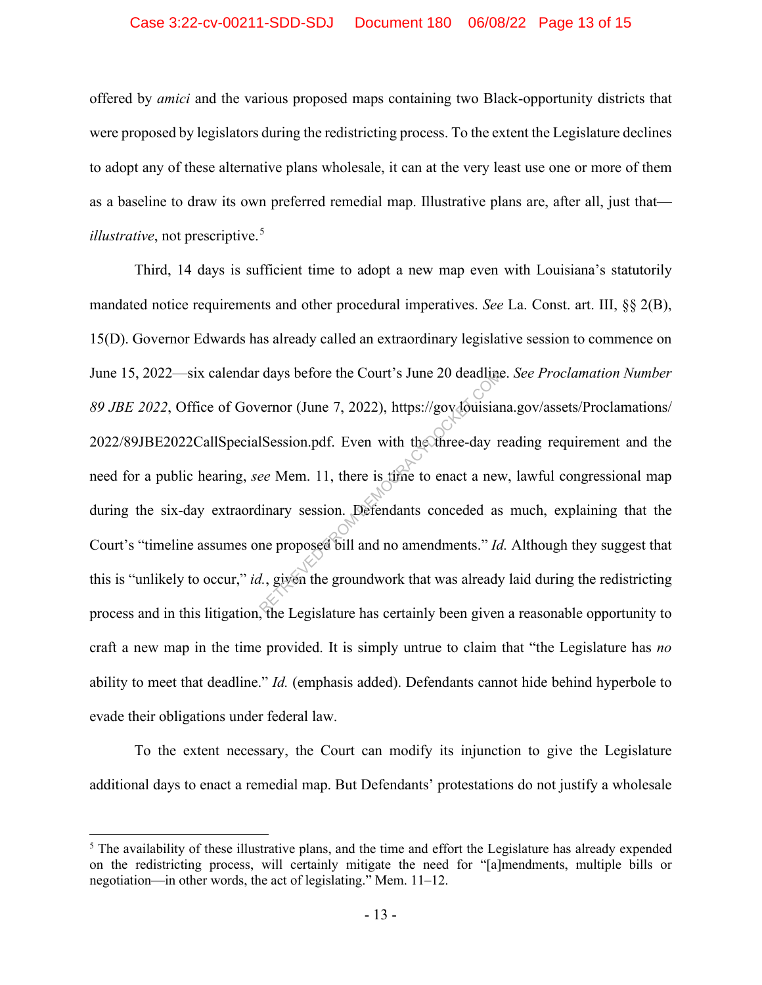#### Case 3:22-cv-00211-SDD-SDJ Document 180 06/08/22 Page 13 of 15

offered by *amici* and the various proposed maps containing two Black-opportunity districts that were proposed by legislators during the redistricting process. To the extent the Legislature declines to adopt any of these alternative plans wholesale, it can at the very least use one or more of them as a baseline to draw its own preferred remedial map. Illustrative plans are, after all, just that *illustrative*, not prescriptive.<sup>5</sup>

Third, 14 days is sufficient time to adopt a new map even with Louisiana's statutorily mandated notice requirements and other procedural imperatives. *See* La. Const. art. III, §§ 2(B), 15(D). Governor Edwards has already called an extraordinary legislative session to commence on June 15, 2022—six calendar days before the Court's June 20 deadline. *See Proclamation Number 89 JBE 2022*, Office of Governor (June 7, 2022), https://gov.louisiana.gov/assets/Proclamations/ 2022/89JBE2022CallSpecialSession.pdf. Even with the three-day reading requirement and the need for a public hearing, *see* Mem. 11, there is time to enact a new, lawful congressional map during the six-day extraordinary session. Defendants conceded as much, explaining that the Court's "timeline assumes one proposed bill and no amendments." *Id.* Although they suggest that this is "unlikely to occur," *id.*, given the groundwork that was already laid during the redistricting process and in this litigation, the Legislature has certainly been given a reasonable opportunity to craft a new map in the time provided. It is simply untrue to claim that "the Legislature has *no* ability to meet that deadline." *Id.* (emphasis added). Defendants cannot hide behind hyperbole to evade their obligations under federal law. remor (June 7, 2022), https://gov.dousian<br>
Ression.pdf. Even with the three-day r<br>
ee Mem. 11, there is time to enact a new<br>
linary session. Defendants conceded as<br>
ne proposed bill and no amendments." Ia<br>
d., given the g

To the extent necessary, the Court can modify its injunction to give the Legislature additional days to enact a remedial map. But Defendants' protestations do not justify a wholesale

<sup>&</sup>lt;sup>5</sup> The availability of these illustrative plans, and the time and effort the Legislature has already expended on the redistricting process, will certainly mitigate the need for "[a]mendments, multiple bills or negotiation—in other words, the act of legislating." Mem. 11–12.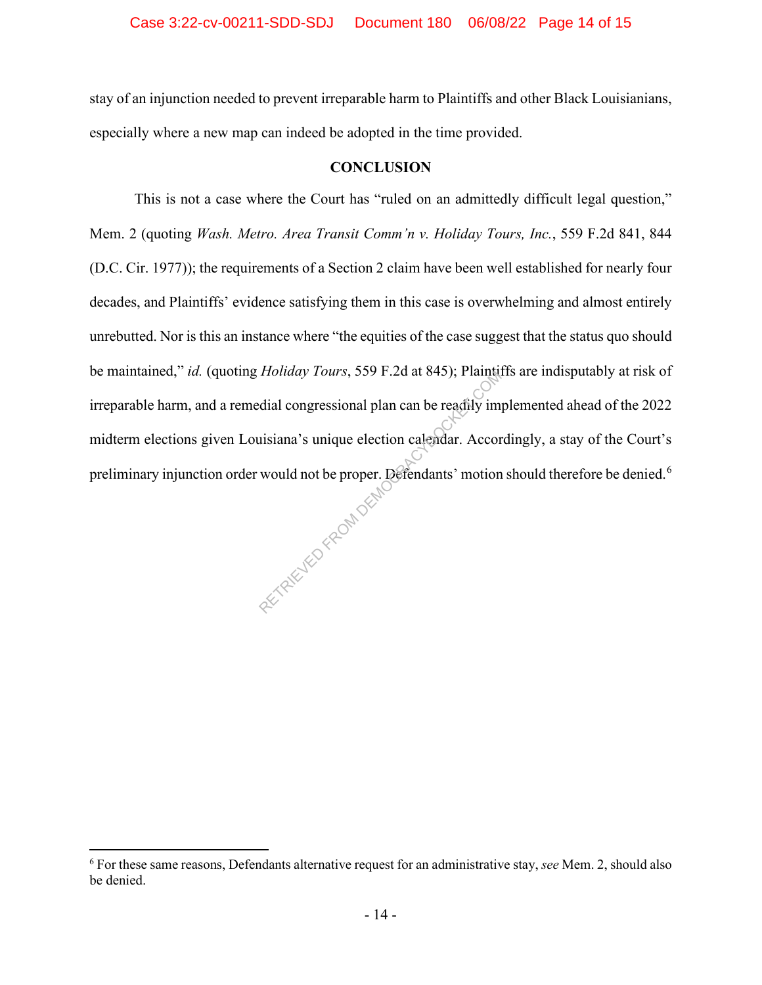stay of an injunction needed to prevent irreparable harm to Plaintiffs and other Black Louisianians, especially where a new map can indeed be adopted in the time provided.

#### **CONCLUSION**

This is not a case where the Court has "ruled on an admittedly difficult legal question," Mem. 2 (quoting *Wash. Metro. Area Transit Comm'n v. Holiday Tours, Inc.*, 559 F.2d 841, 844 (D.C. Cir. 1977)); the requirements of a Section 2 claim have been well established for nearly four decades, and Plaintiffs' evidence satisfying them in this case is overwhelming and almost entirely unrebutted. Nor is this an instance where "the equities of the case suggest that the status quo should be maintained," *id.* (quoting *Holiday Tours*, 559 F.2d at 845); Plaintiffs are indisputably at risk of irreparable harm, and a remedial congressional plan can be readily implemented ahead of the 2022 midterm elections given Louisiana's unique election calendar. Accordingly, a stay of the Court's preliminary injunction order would not be proper. Defendants' motion should therefore be denied.<sup>6</sup> PETRIEVED FROM DEMO

<sup>6</sup> For these same reasons, Defendants alternative request for an administrative stay, *see* Mem. 2, should also be denied.